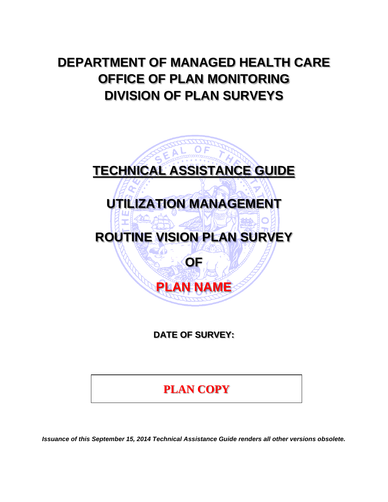# **DEPARTMENT OF MANAGED HEALTH CARE OFFICE OF PLAN MONITORING DIVISION OF PLAN SURVEYS**



**DATE OF SURVEY:** 

**PLAN COPY**

*Issuance of this September 15, 2014 Technical Assistance Guide renders all other versions obsolete.*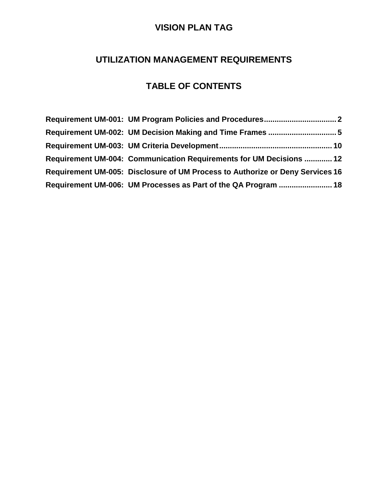# **UTILIZATION MANAGEMENT REQUIREMENTS**

# **TABLE OF CONTENTS**

| Requirement UM-004: Communication Requirements for UM Decisions  12           |
|-------------------------------------------------------------------------------|
| Requirement UM-005: Disclosure of UM Process to Authorize or Deny Services 16 |
| Requirement UM-006: UM Processes as Part of the QA Program  18                |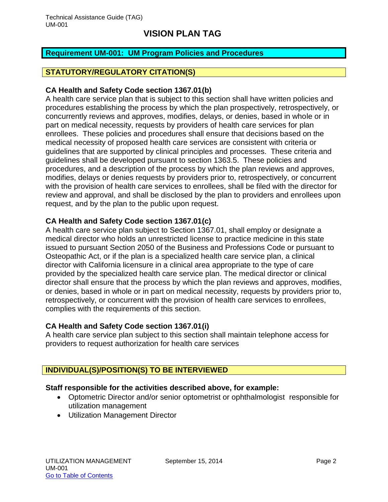### <span id="page-2-0"></span>**Requirement UM-001: UM Program Policies and Procedures**

#### **STATUTORY/REGULATORY CITATION(S)**

#### **CA Health and Safety Code section 1367.01(b)**

A health care service plan that is subject to this section shall have written policies and procedures establishing the process by which the plan prospectively, retrospectively, or concurrently reviews and approves, modifies, delays, or denies, based in whole or in part on medical necessity, requests by providers of health care services for plan enrollees. These policies and procedures shall ensure that decisions based on the medical necessity of proposed health care services are consistent with criteria or guidelines that are supported by clinical principles and processes. These criteria and guidelines shall be developed pursuant to section 1363.5. These policies and procedures, and a description of the process by which the plan reviews and approves, modifies, delays or denies requests by providers prior to, retrospectively, or concurrent with the provision of health care services to enrollees, shall be filed with the director for review and approval, and shall be disclosed by the plan to providers and enrollees upon request, and by the plan to the public upon request.

#### **CA Health and Safety Code section 1367.01(c)**

A health care service plan subject to Section 1367.01, shall employ or designate a medical director who holds an unrestricted license to practice medicine in this state issued to pursuant Section 2050 of the Business and Professions Code or pursuant to Osteopathic Act, or if the plan is a specialized health care service plan, a clinical director with California licensure in a clinical area appropriate to the type of care provided by the specialized health care service plan. The medical director or clinical director shall ensure that the process by which the plan reviews and approves, modifies, or denies, based in whole or in part on medical necessity, requests by providers prior to, retrospectively, or concurrent with the provision of health care services to enrollees, complies with the requirements of this section.

### **CA Health and Safety Code section 1367.01(i)**

A health care service plan subject to this section shall maintain telephone access for providers to request authorization for health care services

### **INDIVIDUAL(S)/POSITION(S) TO BE INTERVIEWED**

#### **Staff responsible for the activities described above, for example:**

- Optometric Director and/or senior optometrist or ophthalmologist responsible for utilization management
- Utilization Management Director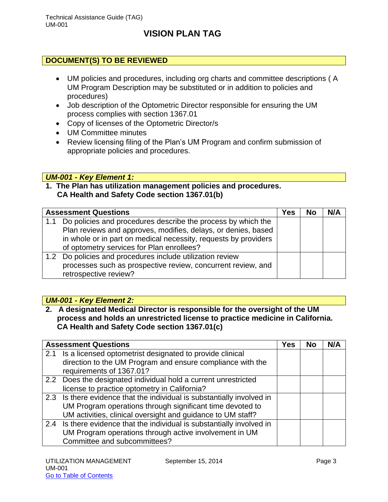### **DOCUMENT(S) TO BE REVIEWED**

- UM policies and procedures, including org charts and committee descriptions ( A UM Program Description may be substituted or in addition to policies and procedures)
- Job description of the Optometric Director responsible for ensuring the UM process complies with section 1367.01
- Copy of licenses of the Optometric Director/s
- UM Committee minutes
- Review licensing filing of the Plan's UM Program and confirm submission of appropriate policies and procedures.

### *UM-001 - Key Element 1:*

### **1. The Plan has utilization management policies and procedures. CA Health and Safety Code section 1367.01(b)**

| <b>Assessment Questions</b> |                                                                                                                                                                                                                                               | Yes | <b>No</b> | N/A |
|-----------------------------|-----------------------------------------------------------------------------------------------------------------------------------------------------------------------------------------------------------------------------------------------|-----|-----------|-----|
| 1.1                         | Do policies and procedures describe the process by which the<br>Plan reviews and approves, modifies, delays, or denies, based<br>in whole or in part on medical necessity, requests by providers<br>of optometry services for Plan enrollees? |     |           |     |
|                             | 1.2 Do policies and procedures include utilization review<br>processes such as prospective review, concurrent review, and<br>retrospective review?                                                                                            |     |           |     |

### *UM-001 - Key Element 2:*

**2. A designated Medical Director is responsible for the oversight of the UM process and holds an unrestricted license to practice medicine in California. CA Health and Safety Code section 1367.01(c)**

| <b>Assessment Questions</b>                                            | <b>Yes</b> | <b>No</b> | N/A |
|------------------------------------------------------------------------|------------|-----------|-----|
| 2.1 Is a licensed optometrist designated to provide clinical           |            |           |     |
| direction to the UM Program and ensure compliance with the             |            |           |     |
| requirements of 1367.01?                                               |            |           |     |
| 2.2 Does the designated individual hold a current unrestricted         |            |           |     |
| license to practice optometry in California?                           |            |           |     |
| 2.3 Is there evidence that the individual is substantially involved in |            |           |     |
| UM Program operations through significant time devoted to              |            |           |     |
| UM activities, clinical oversight and guidance to UM staff?            |            |           |     |
| 2.4 Is there evidence that the individual is substantially involved in |            |           |     |
| UM Program operations through active involvement in UM                 |            |           |     |
| Committee and subcommittees?                                           |            |           |     |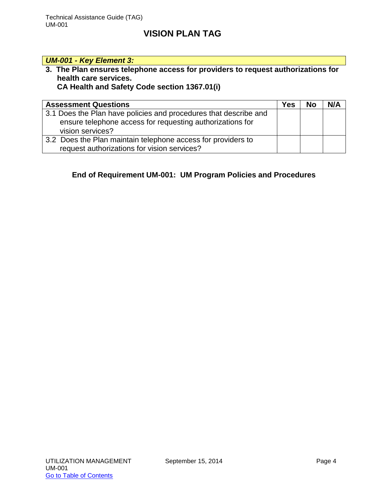### *UM-001 - Key Element 3:*

**3. The Plan ensures telephone access for providers to request authorizations for health care services.** 

# **CA Health and Safety Code section 1367.01(i)**

| <b>Assessment Questions</b>                                                                                                   | Yes | <b>No</b> | N/A |
|-------------------------------------------------------------------------------------------------------------------------------|-----|-----------|-----|
| 3.1 Does the Plan have policies and procedures that describe and<br>ensure telephone access for requesting authorizations for |     |           |     |
| vision services?                                                                                                              |     |           |     |
| 3.2 Does the Plan maintain telephone access for providers to                                                                  |     |           |     |
| request authorizations for vision services?                                                                                   |     |           |     |

### **End of Requirement UM-001: UM Program Policies and Procedures**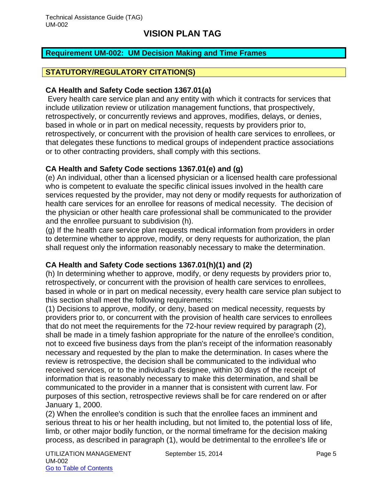### <span id="page-5-0"></span>**Requirement UM-002: UM Decision Making and Time Frames**

### **STATUTORY/REGULATORY CITATION(S)**

#### **CA Health and Safety Code section 1367.01(a)**

Every health care service plan and any entity with which it contracts for services that include utilization review or utilization management functions, that prospectively, retrospectively, or concurrently reviews and approves, modifies, delays, or denies, based in whole or in part on medical necessity, requests by providers prior to, retrospectively, or concurrent with the provision of health care services to enrollees, or that delegates these functions to medical groups of independent practice associations or to other contracting providers, shall comply with this sections.

### **CA Health and Safety Code sections 1367.01(e) and (g)**

(e) An individual, other than a licensed physician or a licensed health care professional who is competent to evaluate the specific clinical issues involved in the health care services requested by the provider, may not deny or modify requests for authorization of health care services for an enrollee for reasons of medical necessity. The decision of the physician or other health care professional shall be communicated to the provider and the enrollee pursuant to subdivision (h).

(g) If the health care service plan requests medical information from providers in order to determine whether to approve, modify, or deny requests for authorization, the plan shall request only the information reasonably necessary to make the determination.

### **CA Health and Safety Code sections 1367.01(h)(1) and (2)**

(h) In determining whether to approve, modify, or deny requests by providers prior to, retrospectively, or concurrent with the provision of health care services to enrollees, based in whole or in part on medical necessity, every health care service plan subject to this section shall meet the following requirements:

(1) Decisions to approve, modify, or deny, based on medical necessity, requests by providers prior to, or concurrent with the provision of health care services to enrollees that do not meet the requirements for the 72-hour review required by paragraph (2), shall be made in a timely fashion appropriate for the nature of the enrollee's condition, not to exceed five business days from the plan's receipt of the information reasonably necessary and requested by the plan to make the determination. In cases where the review is retrospective, the decision shall be communicated to the individual who received services, or to the individual's designee, within 30 days of the receipt of information that is reasonably necessary to make this determination, and shall be communicated to the provider in a manner that is consistent with current law. For purposes of this section, retrospective reviews shall be for care rendered on or after January 1, 2000.

(2) When the enrollee's condition is such that the enrollee faces an imminent and serious threat to his or her health including, but not limited to, the potential loss of life, limb, or other major bodily function, or the normal timeframe for the decision making process, as described in paragraph (1), would be detrimental to the enrollee's life or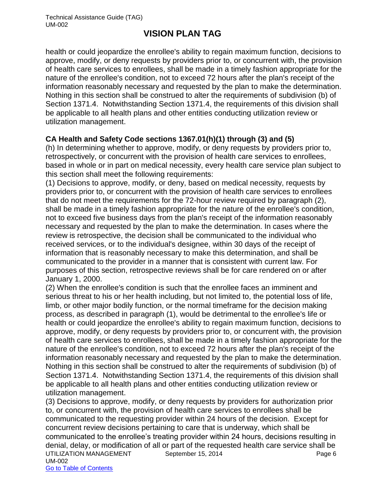health or could jeopardize the enrollee's ability to regain maximum function, decisions to approve, modify, or deny requests by providers prior to, or concurrent with, the provision of health care services to enrollees, shall be made in a timely fashion appropriate for the nature of the enrollee's condition, not to exceed 72 hours after the plan's receipt of the information reasonably necessary and requested by the plan to make the determination. Nothing in this section shall be construed to alter the requirements of subdivision (b) of Section 1371.4. Notwithstanding Section 1371.4, the requirements of this division shall be applicable to all health plans and other entities conducting utilization review or utilization management.

### **CA Health and Safety Code sections 1367.01(h)(1) through (3) and (5)**

(h) In determining whether to approve, modify, or deny requests by providers prior to, retrospectively, or concurrent with the provision of health care services to enrollees, based in whole or in part on medical necessity, every health care service plan subject to this section shall meet the following requirements:

(1) Decisions to approve, modify, or deny, based on medical necessity, requests by providers prior to, or concurrent with the provision of health care services to enrollees that do not meet the requirements for the 72-hour review required by paragraph (2), shall be made in a timely fashion appropriate for the nature of the enrollee's condition, not to exceed five business days from the plan's receipt of the information reasonably necessary and requested by the plan to make the determination. In cases where the review is retrospective, the decision shall be communicated to the individual who received services, or to the individual's designee, within 30 days of the receipt of information that is reasonably necessary to make this determination, and shall be communicated to the provider in a manner that is consistent with current law. For purposes of this section, retrospective reviews shall be for care rendered on or after January 1, 2000.

(2) When the enrollee's condition is such that the enrollee faces an imminent and serious threat to his or her health including, but not limited to, the potential loss of life, limb, or other major bodily function, or the normal timeframe for the decision making process, as described in paragraph (1), would be detrimental to the enrollee's life or health or could jeopardize the enrollee's ability to regain maximum function, decisions to approve, modify, or deny requests by providers prior to, or concurrent with, the provision of health care services to enrollees, shall be made in a timely fashion appropriate for the nature of the enrollee's condition, not to exceed 72 hours after the plan's receipt of the information reasonably necessary and requested by the plan to make the determination. Nothing in this section shall be construed to alter the requirements of subdivision (b) of Section 1371.4. Notwithstanding Section 1371.4, the requirements of this division shall be applicable to all health plans and other entities conducting utilization review or utilization management.

UTILIZATION MANAGEMENT September 15, 2014 **Page 6** Page 6 UM-002 Go to Table of Contents (3) Decisions to approve, modify, or deny requests by providers for authorization prior to, or concurrent with, the provision of health care services to enrollees shall be communicated to the requesting provider within 24 hours of the decision. Except for concurrent review decisions pertaining to care that is underway, which shall be communicated to the enrollee's treating provider within 24 hours, decisions resulting in denial, delay, or modification of all or part of the requested health care service shall be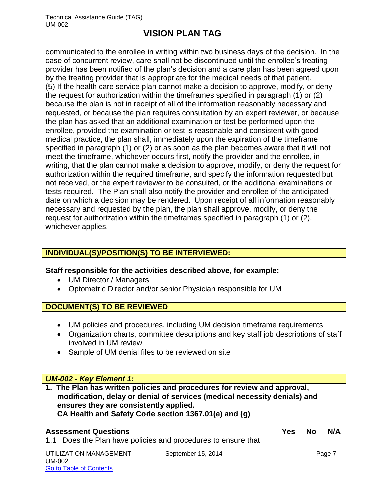communicated to the enrollee in writing within two business days of the decision. In the case of concurrent review, care shall not be discontinued until the enrollee's treating provider has been notified of the plan's decision and a care plan has been agreed upon by the treating provider that is appropriate for the medical needs of that patient. (5) If the health care service plan cannot make a decision to approve, modify, or deny the request for authorization within the timeframes specified in paragraph (1) or (2) because the plan is not in receipt of all of the information reasonably necessary and requested, or because the plan requires consultation by an expert reviewer, or because the plan has asked that an additional examination or test be performed upon the enrollee, provided the examination or test is reasonable and consistent with good medical practice, the plan shall, immediately upon the expiration of the timeframe specified in paragraph (1) or (2) or as soon as the plan becomes aware that it will not meet the timeframe, whichever occurs first, notify the provider and the enrollee, in writing, that the plan cannot make a decision to approve, modify, or deny the request for authorization within the required timeframe, and specify the information requested but not received, or the expert reviewer to be consulted, or the additional examinations or tests required. The Plan shall also notify the provider and enrollee of the anticipated date on which a decision may be rendered. Upon receipt of all information reasonably necessary and requested by the plan, the plan shall approve, modify, or deny the request for authorization within the timeframes specified in paragraph (1) or (2), whichever applies.

# **INDIVIDUAL(S)/POSITION(S) TO BE INTERVIEWED:**

### **Staff responsible for the activities described above, for example:**

- UM Director / Managers
- Optometric Director and/or senior Physician responsible for UM

### **DOCUMENT(S) TO BE REVIEWED**

- UM policies and procedures, including UM decision timeframe requirements
- Organization charts, committee descriptions and key staff job descriptions of staff involved in UM review
- Sample of UM denial files to be reviewed on site

### *UM-002 - Key Element 1:*

**1. The Plan has written policies and procedures for review and approval, modification, delay or denial of services (medical necessity denials) and ensures they are consistently applied. CA Health and Safety Code section 1367.01(e) and (g)**

| <b>Assessment Questions</b>                                   | Yes | No | N/A |
|---------------------------------------------------------------|-----|----|-----|
| 1.1 Does the Plan have policies and procedures to ensure that |     |    |     |
|                                                               |     |    |     |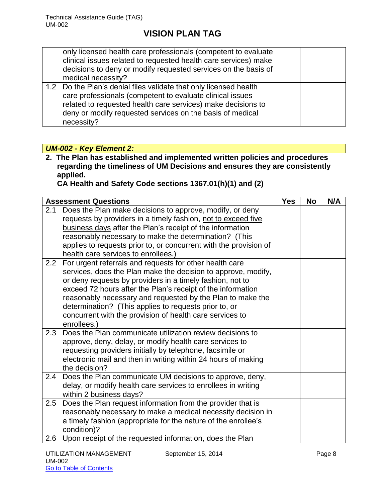| only licensed health care professionals (competent to evaluate<br>clinical issues related to requested health care services) make<br>decisions to deny or modify requested services on the basis of<br>medical necessity?                                                 |  |  |
|---------------------------------------------------------------------------------------------------------------------------------------------------------------------------------------------------------------------------------------------------------------------------|--|--|
| 1.2 Do the Plan's denial files validate that only licensed health<br>care professionals (competent to evaluate clinical issues<br>related to requested health care services) make decisions to<br>deny or modify requested services on the basis of medical<br>necessity? |  |  |

### *UM-002 - Key Element 2:*

**2. The Plan has established and implemented written policies and procedures regarding the timeliness of UM Decisions and ensures they are consistently applied.** 

**CA Health and Safety Code sections 1367.01(h)(1) and (2)**

| <b>Assessment Questions</b>                                                                                                                                                                                                                                                                                                                                                                                                                                   | <b>Yes</b> | <b>No</b> | N/A |
|---------------------------------------------------------------------------------------------------------------------------------------------------------------------------------------------------------------------------------------------------------------------------------------------------------------------------------------------------------------------------------------------------------------------------------------------------------------|------------|-----------|-----|
| Does the Plan make decisions to approve, modify, or deny<br>2.1<br>requests by providers in a timely fashion, not to exceed five<br>business days after the Plan's receipt of the information<br>reasonably necessary to make the determination? (This<br>applies to requests prior to, or concurrent with the provision of<br>health care services to enrollees.)                                                                                            |            |           |     |
| For urgent referrals and requests for other health care<br>2.2<br>services, does the Plan make the decision to approve, modify,<br>or deny requests by providers in a timely fashion, not to<br>exceed 72 hours after the Plan's receipt of the information<br>reasonably necessary and requested by the Plan to make the<br>determination? (This applies to requests prior to, or<br>concurrent with the provision of health care services to<br>enrollees.) |            |           |     |
| Does the Plan communicate utilization review decisions to<br>2.3<br>approve, deny, delay, or modify health care services to<br>requesting providers initially by telephone, facsimile or<br>electronic mail and then in writing within 24 hours of making<br>the decision?                                                                                                                                                                                    |            |           |     |
| Does the Plan communicate UM decisions to approve, deny,<br>2.4<br>delay, or modify health care services to enrollees in writing<br>within 2 business days?                                                                                                                                                                                                                                                                                                   |            |           |     |
| Does the Plan request information from the provider that is<br>2.5<br>reasonably necessary to make a medical necessity decision in<br>a timely fashion (appropriate for the nature of the enrollee's<br>condition)?                                                                                                                                                                                                                                           |            |           |     |
| Upon receipt of the requested information, does the Plan<br>$2.6\,$                                                                                                                                                                                                                                                                                                                                                                                           |            |           |     |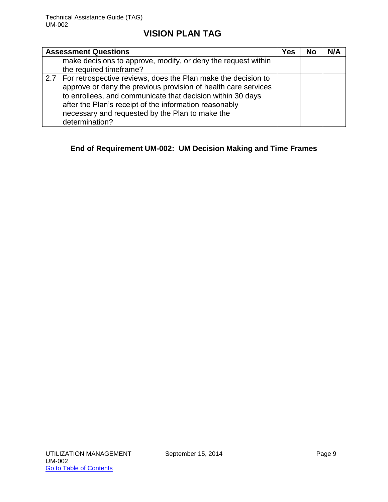| <b>Assessment Questions</b>                                                                                                                                                                                                                                                                                                      | Yes | No | N/A |
|----------------------------------------------------------------------------------------------------------------------------------------------------------------------------------------------------------------------------------------------------------------------------------------------------------------------------------|-----|----|-----|
| make decisions to approve, modify, or deny the request within<br>the required timeframe?                                                                                                                                                                                                                                         |     |    |     |
| 2.7 For retrospective reviews, does the Plan make the decision to<br>approve or deny the previous provision of health care services<br>to enrollees, and communicate that decision within 30 days<br>after the Plan's receipt of the information reasonably<br>necessary and requested by the Plan to make the<br>determination? |     |    |     |

### **End of Requirement UM-002: UM Decision Making and Time Frames**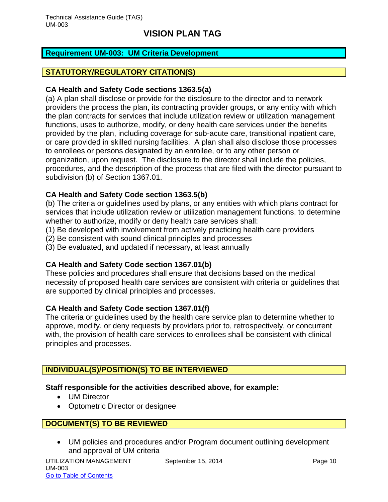### <span id="page-10-0"></span>**Requirement UM-003: UM Criteria Development**

### **STATUTORY/REGULATORY CITATION(S)**

#### **CA Health and Safety Code sections 1363.5(a)**

(a) A plan shall disclose or provide for the disclosure to the director and to network providers the process the plan, its contracting provider groups, or any entity with which the plan contracts for services that include utilization review or utilization management functions, uses to authorize, modify, or deny health care services under the benefits provided by the plan, including coverage for sub-acute care, transitional inpatient care, or care provided in skilled nursing facilities. A plan shall also disclose those processes to enrollees or persons designated by an enrollee, or to any other person or organization, upon request. The disclosure to the director shall include the policies, procedures, and the description of the process that are filed with the director pursuant to subdivision (b) of Section 1367.01.

### **CA Health and Safety Code section 1363.5(b)**

(b) The criteria or guidelines used by plans, or any entities with which plans contract for services that include utilization review or utilization management functions, to determine whether to authorize, modify or deny health care services shall:

- (1) Be developed with involvement from actively practicing health care providers
- (2) Be consistent with sound clinical principles and processes
- (3) Be evaluated, and updated if necessary, at least annually

### **CA Health and Safety Code section 1367.01(b)**

These policies and procedures shall ensure that decisions based on the medical necessity of proposed health care services are consistent with criteria or guidelines that are supported by clinical principles and processes.

### **CA Health and Safety Code section 1367.01(f)**

The criteria or guidelines used by the health care service plan to determine whether to approve, modify, or deny requests by providers prior to, retrospectively, or concurrent with, the provision of health care services to enrollees shall be consistent with clinical principles and processes.

### **INDIVIDUAL(S)/POSITION(S) TO BE INTERVIEWED**

### **Staff responsible for the activities described above, for example:**

- UM Director
- Optometric Director or designee

### **DOCUMENT(S) TO BE REVIEWED**

 UM policies and procedures and/or Program document outlining development and approval of UM criteria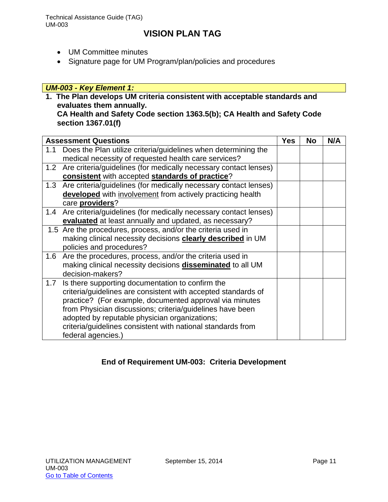Technical Assistance Guide (TAG) UM-003

# **VISION PLAN TAG**

- UM Committee minutes
- Signature page for UM Program/plan/policies and procedures

### *UM-003 - Key Element 1:*

**1. The Plan develops UM criteria consistent with acceptable standards and evaluates them annually.**

#### **CA Health and Safety Code section 1363.5(b); CA Health and Safety Code section 1367.01(f)**

|     | <b>Assessment Questions</b>                                          | <b>Yes</b> | No | N/A |
|-----|----------------------------------------------------------------------|------------|----|-----|
| 1.1 | Does the Plan utilize criteria/guidelines when determining the       |            |    |     |
|     | medical necessity of requested health care services?                 |            |    |     |
|     | 1.2 Are criteria/guidelines (for medically necessary contact lenses) |            |    |     |
|     | consistent with accepted standards of practice?                      |            |    |     |
|     | 1.3 Are criteria/guidelines (for medically necessary contact lenses) |            |    |     |
|     | developed with involvement from actively practicing health           |            |    |     |
|     | care providers?                                                      |            |    |     |
|     | 1.4 Are criteria/guidelines (for medically necessary contact lenses) |            |    |     |
|     | evaluated at least annually and updated, as necessary?               |            |    |     |
|     | 1.5 Are the procedures, process, and/or the criteria used in         |            |    |     |
|     | making clinical necessity decisions clearly described in UM          |            |    |     |
|     | policies and procedures?                                             |            |    |     |
|     | 1.6 Are the procedures, process, and/or the criteria used in         |            |    |     |
|     | making clinical necessity decisions <b>disseminated</b> to all UM    |            |    |     |
|     | decision-makers?                                                     |            |    |     |
| 1.7 | Is there supporting documentation to confirm the                     |            |    |     |
|     | criteria/guidelines are consistent with accepted standards of        |            |    |     |
|     | practice? (For example, documented approval via minutes              |            |    |     |
|     | from Physician discussions; criteria/guidelines have been            |            |    |     |
|     | adopted by reputable physician organizations;                        |            |    |     |
|     | criteria/guidelines consistent with national standards from          |            |    |     |
|     | federal agencies.)                                                   |            |    |     |

### **End of Requirement UM-003: Criteria Development**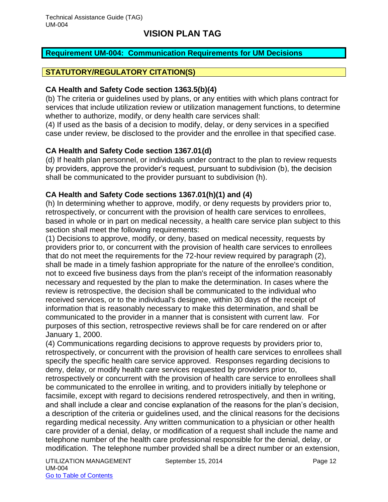### <span id="page-12-0"></span>**Requirement UM-004: Communication Requirements for UM Decisions**

### **STATUTORY/REGULATORY CITATION(S)**

#### **CA Health and Safety Code section 1363.5(b)(4)**

(b) The criteria or guidelines used by plans, or any entities with which plans contract for services that include utilization review or utilization management functions, to determine whether to authorize, modify, or deny health care services shall:

(4) If used as the basis of a decision to modify, delay, or deny services in a specified case under review, be disclosed to the provider and the enrollee in that specified case.

### **CA Health and Safety Code section 1367.01(d)**

(d) If health plan personnel, or individuals under contract to the plan to review requests by providers, approve the provider's request, pursuant to subdivision (b), the decision shall be communicated to the provider pursuant to subdivision (h).

### **CA Health and Safety Code sections 1367.01(h)(1) and (4)**

(h) In determining whether to approve, modify, or deny requests by providers prior to, retrospectively, or concurrent with the provision of health care services to enrollees, based in whole or in part on medical necessity, a health care service plan subject to this section shall meet the following requirements:

(1) Decisions to approve, modify, or deny, based on medical necessity, requests by providers prior to, or concurrent with the provision of health care services to enrollees that do not meet the requirements for the 72-hour review required by paragraph (2), shall be made in a timely fashion appropriate for the nature of the enrollee's condition, not to exceed five business days from the plan's receipt of the information reasonably necessary and requested by the plan to make the determination. In cases where the review is retrospective, the decision shall be communicated to the individual who received services, or to the individual's designee, within 30 days of the receipt of information that is reasonably necessary to make this determination, and shall be communicated to the provider in a manner that is consistent with current law. For purposes of this section, retrospective reviews shall be for care rendered on or after January 1, 2000.

(4) Communications regarding decisions to approve requests by providers prior to, retrospectively, or concurrent with the provision of health care services to enrollees shall specify the specific health care service approved. Responses regarding decisions to deny, delay, or modify health care services requested by providers prior to, retrospectively or concurrent with the provision of health care service to enrollees shall be communicated to the enrollee in writing, and to providers initially by telephone or facsimile, except with regard to decisions rendered retrospectively, and then in writing, and shall include a clear and concise explanation of the reasons for the plan's decision, a description of the criteria or guidelines used, and the clinical reasons for the decisions regarding medical necessity. Any written communication to a physician or other health care provider of a denial, delay, or modification of a request shall include the name and telephone number of the health care professional responsible for the denial, delay, or modification. The telephone number provided shall be a direct number or an extension,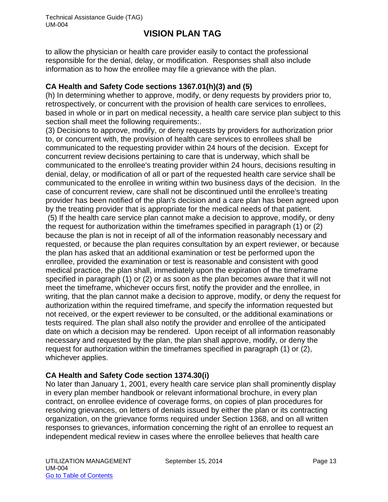to allow the physician or health care provider easily to contact the professional responsible for the denial, delay, or modification. Responses shall also include information as to how the enrollee may file a grievance with the plan.

### **CA Health and Safety Code sections 1367.01(h)(3) and (5)**

(h) In determining whether to approve, modify, or deny requests by providers prior to, retrospectively, or concurrent with the provision of health care services to enrollees, based in whole or in part on medical necessity, a health care service plan subject to this section shall meet the following requirements:.

(3) Decisions to approve, modify, or deny requests by providers for authorization prior to, or concurrent with, the provision of health care services to enrollees shall be communicated to the requesting provider within 24 hours of the decision. Except for concurrent review decisions pertaining to care that is underway, which shall be communicated to the enrollee's treating provider within 24 hours, decisions resulting in denial, delay, or modification of all or part of the requested health care service shall be communicated to the enrollee in writing within two business days of the decision. In the case of concurrent review, care shall not be discontinued until the enrollee's treating provider has been notified of the plan's decision and a care plan has been agreed upon by the treating provider that is appropriate for the medical needs of that patient.

(5) If the health care service plan cannot make a decision to approve, modify, or deny the request for authorization within the timeframes specified in paragraph (1) or (2) because the plan is not in receipt of all of the information reasonably necessary and requested, or because the plan requires consultation by an expert reviewer, or because the plan has asked that an additional examination or test be performed upon the enrollee, provided the examination or test is reasonable and consistent with good medical practice, the plan shall, immediately upon the expiration of the timeframe specified in paragraph (1) or (2) or as soon as the plan becomes aware that it will not meet the timeframe, whichever occurs first, notify the provider and the enrollee, in writing, that the plan cannot make a decision to approve, modify, or deny the request for authorization within the required timeframe, and specify the information requested but not received, or the expert reviewer to be consulted, or the additional examinations or tests required. The plan shall also notify the provider and enrollee of the anticipated date on which a decision may be rendered. Upon receipt of all information reasonably necessary and requested by the plan, the plan shall approve, modify, or deny the request for authorization within the timeframes specified in paragraph (1) or (2), whichever applies.

# **CA Health and Safety Code section 1374.30(i)**

No later than January 1, 2001, every health care service plan shall prominently display in every plan member handbook or relevant informational brochure, in every plan contract, on enrollee evidence of coverage forms, on copies of plan procedures for resolving grievances, on letters of denials issued by either the plan or its contracting organization, on the grievance forms required under Section 1368, and on all written responses to grievances, information concerning the right of an enrollee to request an independent medical review in cases where the enrollee believes that health care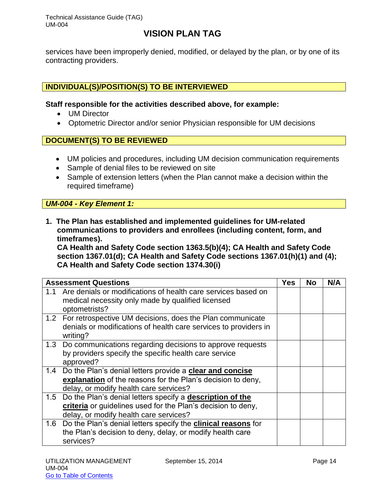Technical Assistance Guide (TAG) UM-004

# **VISION PLAN TAG**

services have been improperly denied, modified, or delayed by the plan, or by one of its contracting providers.

### **INDIVIDUAL(S)/POSITION(S) TO BE INTERVIEWED**

**Staff responsible for the activities described above, for example:**

- UM Director
- Optometric Director and/or senior Physician responsible for UM decisions

### **DOCUMENT(S) TO BE REVIEWED**

- UM policies and procedures, including UM decision communication requirements
- Sample of denial files to be reviewed on site
- Sample of extension letters (when the Plan cannot make a decision within the required timeframe)

### *UM-004 - Key Element 1:*

**1. The Plan has established and implemented guidelines for UM-related communications to providers and enrollees (including content, form, and timeframes).** 

**CA Health and Safety Code section 1363.5(b)(4); CA Health and Safety Code section 1367.01(d); CA Health and Safety Code sections 1367.01(h)(1) and (4); CA Health and Safety Code section 1374.30(i)**

|     | <b>Assessment Questions</b>                                                                                                                                         | <b>Yes</b> | <b>No</b> | N/A |
|-----|---------------------------------------------------------------------------------------------------------------------------------------------------------------------|------------|-----------|-----|
| 1.1 | Are denials or modifications of health care services based on<br>medical necessity only made by qualified licensed<br>optometrists?                                 |            |           |     |
|     | 1.2 For retrospective UM decisions, does the Plan communicate<br>denials or modifications of health care services to providers in<br>writing?                       |            |           |     |
|     | 1.3 Do communications regarding decisions to approve requests<br>by providers specify the specific health care service<br>approved?                                 |            |           |     |
| 1.4 | Do the Plan's denial letters provide a clear and concise<br>explanation of the reasons for the Plan's decision to deny,<br>delay, or modify health care services?   |            |           |     |
| 1.5 | Do the Plan's denial letters specify a description of the<br>criteria or guidelines used for the Plan's decision to deny,<br>delay, or modify health care services? |            |           |     |
| 1.6 | Do the Plan's denial letters specify the <b>clinical reasons</b> for<br>the Plan's decision to deny, delay, or modify health care<br>services?                      |            |           |     |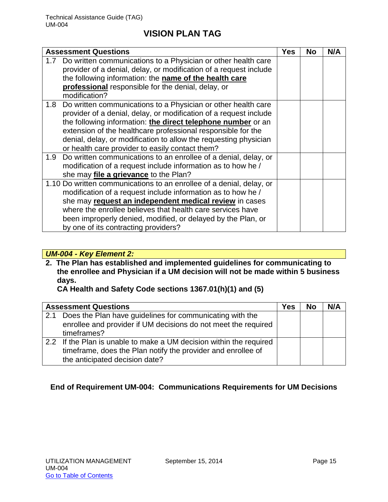|                  | <b>Assessment Questions</b>                                                                                                                                                                                                                                                                                                                                                                   | Yes | No | N/A |
|------------------|-----------------------------------------------------------------------------------------------------------------------------------------------------------------------------------------------------------------------------------------------------------------------------------------------------------------------------------------------------------------------------------------------|-----|----|-----|
|                  | 1.7 Do written communications to a Physician or other health care<br>provider of a denial, delay, or modification of a request include<br>the following information: the name of the health care<br>professional responsible for the denial, delay, or<br>modification?                                                                                                                       |     |    |     |
|                  | 1.8 Do written communications to a Physician or other health care<br>provider of a denial, delay, or modification of a request include<br>the following information: the direct telephone number or an<br>extension of the healthcare professional responsible for the<br>denial, delay, or modification to allow the requesting physician<br>or health care provider to easily contact them? |     |    |     |
| 1.9 <sub>z</sub> | Do written communications to an enrollee of a denial, delay, or<br>modification of a request include information as to how he /<br>she may file a grievance to the Plan?                                                                                                                                                                                                                      |     |    |     |
|                  | 1.10 Do written communications to an enrollee of a denial, delay, or<br>modification of a request include information as to how he /<br>she may request an independent medical review in cases<br>where the enrollee believes that health care services have<br>been improperly denied, modified, or delayed by the Plan, or<br>by one of its contracting providers?                          |     |    |     |

### *UM-004 - Key Element 2:*

**2. The Plan has established and implemented guidelines for communicating to the enrollee and Physician if a UM decision will not be made within 5 business days.** 

**CA Health and Safety Code sections 1367.01(h)(1) and (5)**

|     | <b>Assessment Questions</b>                                                                                                                                           | Yes | <b>No</b> | N/A |
|-----|-----------------------------------------------------------------------------------------------------------------------------------------------------------------------|-----|-----------|-----|
| 2.1 | Does the Plan have guidelines for communicating with the<br>enrollee and provider if UM decisions do not meet the required<br>timeframes?                             |     |           |     |
|     | 2.2 If the Plan is unable to make a UM decision within the required<br>timeframe, does the Plan notify the provider and enrollee of<br>the anticipated decision date? |     |           |     |

# **End of Requirement UM-004: Communications Requirements for UM Decisions**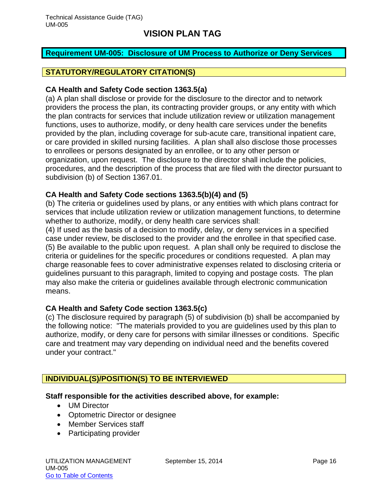#### <span id="page-16-0"></span>**Requirement UM-005: Disclosure of UM Process to Authorize or Deny Services**

#### **STATUTORY/REGULATORY CITATION(S)**

#### **CA Health and Safety Code section 1363.5(a)**

(a) A plan shall disclose or provide for the disclosure to the director and to network providers the process the plan, its contracting provider groups, or any entity with which the plan contracts for services that include utilization review or utilization management functions, uses to authorize, modify, or deny health care services under the benefits provided by the plan, including coverage for sub-acute care, transitional inpatient care, or care provided in skilled nursing facilities. A plan shall also disclose those processes to enrollees or persons designated by an enrollee, or to any other person or organization, upon request. The disclosure to the director shall include the policies, procedures, and the description of the process that are filed with the director pursuant to subdivision (b) of Section 1367.01.

### **CA Health and Safety Code sections 1363.5(b)(4) and (5)**

(b) The criteria or guidelines used by plans, or any entities with which plans contract for services that include utilization review or utilization management functions, to determine whether to authorize, modify, or deny health care services shall:

(4) If used as the basis of a decision to modify, delay, or deny services in a specified case under review, be disclosed to the provider and the enrollee in that specified case. (5) Be available to the public upon request. A plan shall only be required to disclose the criteria or guidelines for the specific procedures or conditions requested. A plan may charge reasonable fees to cover administrative expenses related to disclosing criteria or guidelines pursuant to this paragraph, limited to copying and postage costs. The plan may also make the criteria or guidelines available through electronic communication means.

### **CA Health and Safety Code section 1363.5(c)**

(c) The disclosure required by paragraph (5) of subdivision (b) shall be accompanied by the following notice: "The materials provided to you are guidelines used by this plan to authorize, modify, or deny care for persons with similar illnesses or conditions. Specific care and treatment may vary depending on individual need and the benefits covered under your contract."

### **INDIVIDUAL(S)/POSITION(S) TO BE INTERVIEWED**

#### **Staff responsible for the activities described above, for example:**

- UM Director
- Optometric Director or designee
- Member Services staff
- Participating provider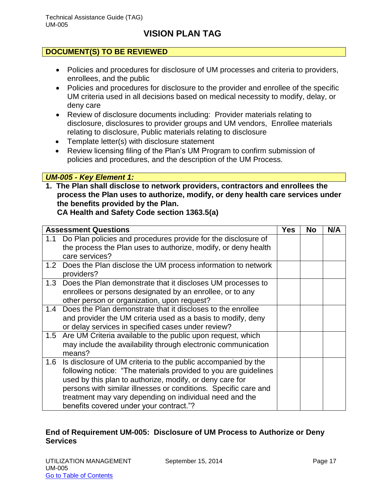### **DOCUMENT(S) TO BE REVIEWED**

- Policies and procedures for disclosure of UM processes and criteria to providers, enrollees, and the public
- Policies and procedures for disclosure to the provider and enrollee of the specific UM criteria used in all decisions based on medical necessity to modify, delay, or deny care
- Review of disclosure documents including: Provider materials relating to disclosure, disclosures to provider groups and UM vendors, Enrollee materials relating to disclosure, Public materials relating to disclosure
- Template letter(s) with disclosure statement
- Review licensing filing of the Plan's UM Program to confirm submission of policies and procedures, and the description of the UM Process.

### *UM-005 - Key Element 1:*

**1. The Plan shall disclose to network providers, contractors and enrollees the process the Plan uses to authorize, modify, or deny health care services under the benefits provided by the Plan.** 

**CA Health and Safety Code section 1363.5(a)**

| <b>Assessment Questions</b> |                                                                                                                                                                                                                                                                                                                                                                       | <b>Yes</b> | <b>No</b> | N/A |
|-----------------------------|-----------------------------------------------------------------------------------------------------------------------------------------------------------------------------------------------------------------------------------------------------------------------------------------------------------------------------------------------------------------------|------------|-----------|-----|
| 1.1<br>care services?       | Do Plan policies and procedures provide for the disclosure of<br>the process the Plan uses to authorize, modify, or deny health                                                                                                                                                                                                                                       |            |           |     |
| providers?                  | 1.2 Does the Plan disclose the UM process information to network                                                                                                                                                                                                                                                                                                      |            |           |     |
|                             | 1.3 Does the Plan demonstrate that it discloses UM processes to<br>enrollees or persons designated by an enrollee, or to any<br>other person or organization, upon request?                                                                                                                                                                                           |            |           |     |
| 1.4                         | Does the Plan demonstrate that it discloses to the enrollee<br>and provider the UM criteria used as a basis to modify, deny<br>or delay services in specified cases under review?                                                                                                                                                                                     |            |           |     |
| 1.5<br>means?               | Are UM Criteria available to the public upon request, which<br>may include the availability through electronic communication                                                                                                                                                                                                                                          |            |           |     |
| 1.6                         | Is disclosure of UM criteria to the public accompanied by the<br>following notice: "The materials provided to you are guidelines<br>used by this plan to authorize, modify, or deny care for<br>persons with similar illnesses or conditions. Specific care and<br>treatment may vary depending on individual need and the<br>benefits covered under your contract."? |            |           |     |

### **End of Requirement UM-005: Disclosure of UM Process to Authorize or Deny Services**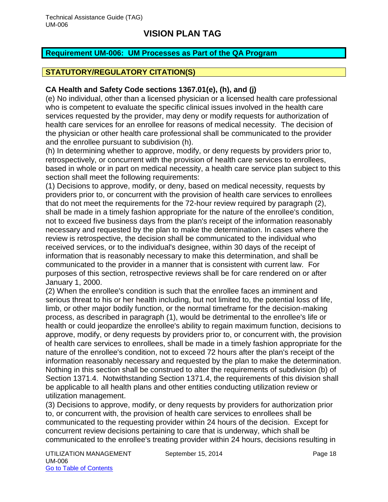#### <span id="page-18-0"></span>**Requirement UM-006: UM Processes as Part of the QA Program**

### **STATUTORY/REGULATORY CITATION(S)**

#### **CA Health and Safety Code sections 1367.01(e), (h), and (j)**

(e) No individual, other than a licensed physician or a licensed health care professional who is competent to evaluate the specific clinical issues involved in the health care services requested by the provider, may deny or modify requests for authorization of health care services for an enrollee for reasons of medical necessity. The decision of the physician or other health care professional shall be communicated to the provider and the enrollee pursuant to subdivision (h).

(h) In determining whether to approve, modify, or deny requests by providers prior to, retrospectively, or concurrent with the provision of health care services to enrollees, based in whole or in part on medical necessity, a health care service plan subject to this section shall meet the following requirements:

(1) Decisions to approve, modify, or deny, based on medical necessity, requests by providers prior to, or concurrent with the provision of health care services to enrollees that do not meet the requirements for the 72-hour review required by paragraph (2), shall be made in a timely fashion appropriate for the nature of the enrollee's condition, not to exceed five business days from the plan's receipt of the information reasonably necessary and requested by the plan to make the determination. In cases where the review is retrospective, the decision shall be communicated to the individual who received services, or to the individual's designee, within 30 days of the receipt of information that is reasonably necessary to make this determination, and shall be communicated to the provider in a manner that is consistent with current law. For purposes of this section, retrospective reviews shall be for care rendered on or after January 1, 2000.

(2) When the enrollee's condition is such that the enrollee faces an imminent and serious threat to his or her health including, but not limited to, the potential loss of life, limb, or other major bodily function, or the normal timeframe for the decision-making process, as described in paragraph (1), would be detrimental to the enrollee's life or health or could jeopardize the enrollee's ability to regain maximum function, decisions to approve, modify, or deny requests by providers prior to, or concurrent with, the provision of health care services to enrollees, shall be made in a timely fashion appropriate for the nature of the enrollee's condition, not to exceed 72 hours after the plan's receipt of the information reasonably necessary and requested by the plan to make the determination. Nothing in this section shall be construed to alter the requirements of subdivision (b) of Section 1371.4. Notwithstanding Section 1371.4, the requirements of this division shall be applicable to all health plans and other entities conducting utilization review or utilization management.

(3) Decisions to approve, modify, or deny requests by providers for authorization prior to, or concurrent with, the provision of health care services to enrollees shall be communicated to the requesting provider within 24 hours of the decision. Except for concurrent review decisions pertaining to care that is underway, which shall be communicated to the enrollee's treating provider within 24 hours, decisions resulting in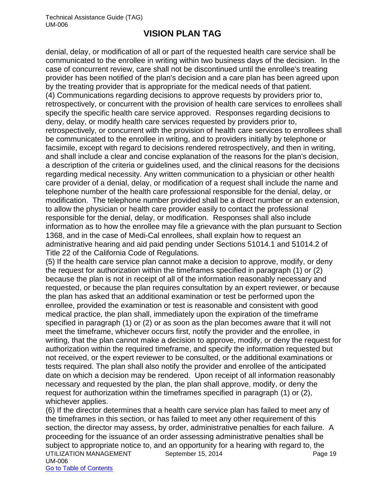denial, delay, or modification of all or part of the requested health care service shall be communicated to the enrollee in writing within two business days of the decision. In the case of concurrent review, care shall not be discontinued until the enrollee's treating provider has been notified of the plan's decision and a care plan has been agreed upon by the treating provider that is appropriate for the medical needs of that patient. (4) Communications regarding decisions to approve requests by providers prior to, retrospectively, or concurrent with the provision of health care services to enrollees shall specify the specific health care service approved. Responses regarding decisions to deny, delay, or modify health care services requested by providers prior to, retrospectively, or concurrent with the provision of health care services to enrollees shall be communicated to the enrollee in writing, and to providers initially by telephone or facsimile, except with regard to decisions rendered retrospectively, and then in writing, and shall include a clear and concise explanation of the reasons for the plan's decision, a description of the criteria or guidelines used, and the clinical reasons for the decisions regarding medical necessity. Any written communication to a physician or other health care provider of a denial, delay, or modification of a request shall include the name and telephone number of the health care professional responsible for the denial, delay, or modification. The telephone number provided shall be a direct number or an extension, to allow the physician or health care provider easily to contact the professional responsible for the denial, delay, or modification. Responses shall also include information as to how the enrollee may file a grievance with the plan pursuant to Section 1368, and in the case of Medi-Cal enrollees, shall explain how to request an administrative hearing and aid paid pending under Sections 51014.1 and 51014.2 of Title 22 of the California Code of Regulations.

(5) If the health care service plan cannot make a decision to approve, modify, or deny the request for authorization within the timeframes specified in paragraph (1) or (2) because the plan is not in receipt of all of the information reasonably necessary and requested, or because the plan requires consultation by an expert reviewer, or because the plan has asked that an additional examination or test be performed upon the enrollee, provided the examination or test is reasonable and consistent with good medical practice, the plan shall, immediately upon the expiration of the timeframe specified in paragraph (1) or (2) or as soon as the plan becomes aware that it will not meet the timeframe, whichever occurs first, notify the provider and the enrollee, in writing, that the plan cannot make a decision to approve, modify, or deny the request for authorization within the required timeframe, and specify the information requested but not received, or the expert reviewer to be consulted, or the additional examinations or tests required. The plan shall also notify the provider and enrollee of the anticipated date on which a decision may be rendered. Upon receipt of all information reasonably necessary and requested by the plan, the plan shall approve, modify, or deny the request for authorization within the timeframes specified in paragraph (1) or (2), whichever applies.

UTILIZATION MANAGEMENT September 15, 2014 **Page 19** UM-006 Go to Table of Contents (6) If the director determines that a health care service plan has failed to meet any of the timeframes in this section, or has failed to meet any other requirement of this section, the director may assess, by order, administrative penalties for each failure. A proceeding for the issuance of an order assessing administrative penalties shall be subject to appropriate notice to, and an opportunity for a hearing with regard to, the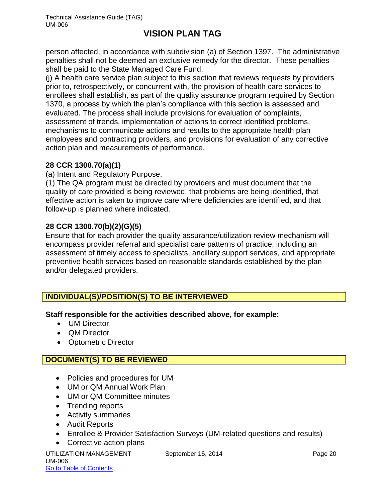person affected, in accordance with subdivision (a) of Section 1397. The administrative penalties shall not be deemed an exclusive remedy for the director. These penalties shall be paid to the State Managed Care Fund.

(j) A health care service plan subject to this section that reviews requests by providers prior to, retrospectively, or concurrent with, the provision of health care services to enrollees shall establish, as part of the quality assurance program required by Section 1370, a process by which the plan's compliance with this section is assessed and evaluated. The process shall include provisions for evaluation of complaints, assessment of trends, implementation of actions to correct identified problems, mechanisms to communicate actions and results to the appropriate health plan employees and contracting providers, and provisions for evaluation of any corrective action plan and measurements of performance.

### **28 CCR 1300.70(a)(1)**

(a) Intent and Regulatory Purpose.

(1) The QA program must be directed by providers and must document that the quality of care provided is being reviewed, that problems are being identified, that effective action is taken to improve care where deficiencies are identified, and that follow-up is planned where indicated.

# **28 CCR 1300.70(b)(2)(G)(5)**

Ensure that for each provider the quality assurance/utilization review mechanism will encompass provider referral and specialist care patterns of practice, including an assessment of timely access to specialists, ancillary support services, and appropriate preventive health services based on reasonable standards established by the plan and/or delegated providers.

# **INDIVIDUAL(S)/POSITION(S) TO BE INTERVIEWED**

**Staff responsible for the activities described above, for example:**

- UM Director
- QM Director
- Optometric Director

### **DOCUMENT(S) TO BE REVIEWED**

- Policies and procedures for UM
- UM or QM Annual Work Plan
- UM or QM Committee minutes
- Trending reports
- Activity summaries
- Audit Reports
- Enrollee & Provider Satisfaction Surveys (UM-related questions and results)
- Corrective action plans

UTILIZATION MANAGEMENT September 15, 2014 **Page 20** UM-006 Go to Table of Contents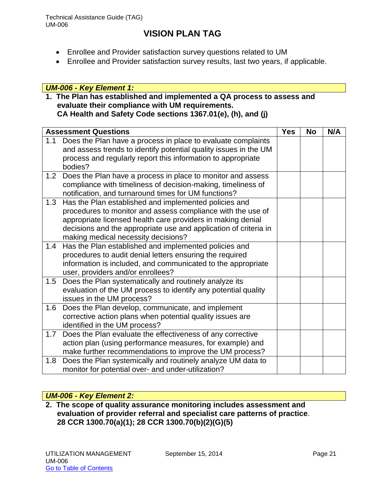Technical Assistance Guide (TAG) UM-006

# **VISION PLAN TAG**

- Enrollee and Provider satisfaction survey questions related to UM
- Enrollee and Provider satisfaction survey results, last two years, if applicable.

### *UM-006 - Key Element 1:*

# **1. The Plan has established and implemented a QA process to assess and evaluate their compliance with UM requirements.**

**CA Health and Safety Code sections 1367.01(e), (h), and (j)**

| <b>Assessment Questions</b>                                        |                                                                  | <b>Yes</b> | <b>No</b> | N/A |
|--------------------------------------------------------------------|------------------------------------------------------------------|------------|-----------|-----|
| 1.1                                                                | Does the Plan have a process in place to evaluate complaints     |            |           |     |
|                                                                    | and assess trends to identify potential quality issues in the UM |            |           |     |
| bodies?                                                            | process and regularly report this information to appropriate     |            |           |     |
| Does the Plan have a process in place to monitor and assess<br>1.2 |                                                                  |            |           |     |
|                                                                    | compliance with timeliness of decision-making, timeliness of     |            |           |     |
|                                                                    | notification, and turnaround times for UM functions?             |            |           |     |
| 1.3                                                                | Has the Plan established and implemented policies and            |            |           |     |
|                                                                    | procedures to monitor and assess compliance with the use of      |            |           |     |
|                                                                    | appropriate licensed health care providers in making denial      |            |           |     |
|                                                                    | decisions and the appropriate use and application of criteria in |            |           |     |
|                                                                    | making medical necessity decisions?                              |            |           |     |
| 1.4                                                                | Has the Plan established and implemented policies and            |            |           |     |
|                                                                    | procedures to audit denial letters ensuring the required         |            |           |     |
|                                                                    | information is included, and communicated to the appropriate     |            |           |     |
|                                                                    | user, providers and/or enrollees?                                |            |           |     |
| 1.5                                                                | Does the Plan systematically and routinely analyze its           |            |           |     |
|                                                                    | evaluation of the UM process to identify any potential quality   |            |           |     |
|                                                                    | issues in the UM process?                                        |            |           |     |
| 1.6                                                                | Does the Plan develop, communicate, and implement                |            |           |     |
|                                                                    | corrective action plans when potential quality issues are        |            |           |     |
|                                                                    | identified in the UM process?                                    |            |           |     |
| 1.7                                                                | Does the Plan evaluate the effectiveness of any corrective       |            |           |     |
|                                                                    | action plan (using performance measures, for example) and        |            |           |     |
|                                                                    | make further recommendations to improve the UM process?          |            |           |     |
| 1.8                                                                | Does the Plan systemically and routinely analyze UM data to      |            |           |     |
|                                                                    | monitor for potential over- and under-utilization?               |            |           |     |

### *UM-006 - Key Element 2:*

**2. The scope of quality assurance monitoring includes assessment and evaluation of provider referral and specialist care patterns of practice**. **28 CCR 1300.70(a)(1); 28 CCR 1300.70(b)(2)(G)(5)**